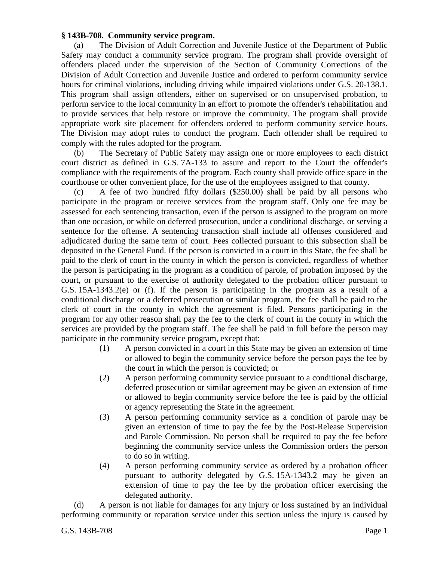## **§ 143B-708. Community service program.**

(a) The Division of Adult Correction and Juvenile Justice of the Department of Public Safety may conduct a community service program. The program shall provide oversight of offenders placed under the supervision of the Section of Community Corrections of the Division of Adult Correction and Juvenile Justice and ordered to perform community service hours for criminal violations, including driving while impaired violations under G.S. 20-138.1. This program shall assign offenders, either on supervised or on unsupervised probation, to perform service to the local community in an effort to promote the offender's rehabilitation and to provide services that help restore or improve the community. The program shall provide appropriate work site placement for offenders ordered to perform community service hours. The Division may adopt rules to conduct the program. Each offender shall be required to comply with the rules adopted for the program.

(b) The Secretary of Public Safety may assign one or more employees to each district court district as defined in G.S. 7A-133 to assure and report to the Court the offender's compliance with the requirements of the program. Each county shall provide office space in the courthouse or other convenient place, for the use of the employees assigned to that county.

(c) A fee of two hundred fifty dollars (\$250.00) shall be paid by all persons who participate in the program or receive services from the program staff. Only one fee may be assessed for each sentencing transaction, even if the person is assigned to the program on more than one occasion, or while on deferred prosecution, under a conditional discharge, or serving a sentence for the offense. A sentencing transaction shall include all offenses considered and adjudicated during the same term of court. Fees collected pursuant to this subsection shall be deposited in the General Fund. If the person is convicted in a court in this State, the fee shall be paid to the clerk of court in the county in which the person is convicted, regardless of whether the person is participating in the program as a condition of parole, of probation imposed by the court, or pursuant to the exercise of authority delegated to the probation officer pursuant to G.S. 15A-1343.2(e) or (f). If the person is participating in the program as a result of a conditional discharge or a deferred prosecution or similar program, the fee shall be paid to the clerk of court in the county in which the agreement is filed. Persons participating in the program for any other reason shall pay the fee to the clerk of court in the county in which the services are provided by the program staff. The fee shall be paid in full before the person may participate in the community service program, except that:

- (1) A person convicted in a court in this State may be given an extension of time or allowed to begin the community service before the person pays the fee by the court in which the person is convicted; or
- (2) A person performing community service pursuant to a conditional discharge, deferred prosecution or similar agreement may be given an extension of time or allowed to begin community service before the fee is paid by the official or agency representing the State in the agreement.
- (3) A person performing community service as a condition of parole may be given an extension of time to pay the fee by the Post-Release Supervision and Parole Commission. No person shall be required to pay the fee before beginning the community service unless the Commission orders the person to do so in writing.
- (4) A person performing community service as ordered by a probation officer pursuant to authority delegated by G.S. 15A-1343.2 may be given an extension of time to pay the fee by the probation officer exercising the delegated authority.

(d) A person is not liable for damages for any injury or loss sustained by an individual performing community or reparation service under this section unless the injury is caused by